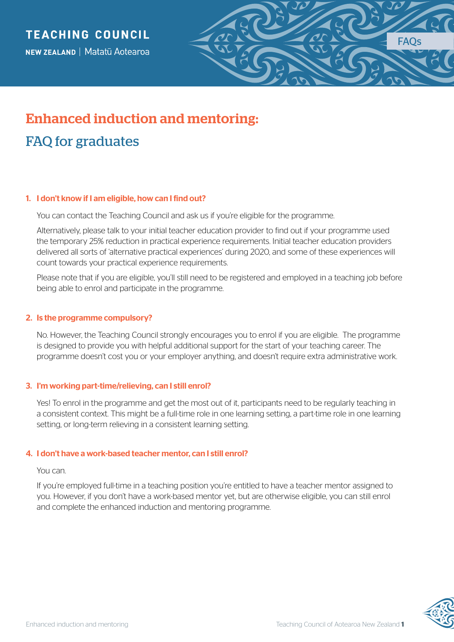

# Enhanced induction and mentoring: FAQ for graduates

# 1. I don't know if I am eligible, how can I find out?

You can contact the Teaching Council and ask us if you're eligible for the programme.

Alternatively, please talk to your initial teacher education provider to find out if your programme used the temporary 25% reduction in practical experience requirements. Initial teacher education providers delivered all sorts of 'alternative practical experiences' during 2020, and some of these experiences will count towards your practical experience requirements.

Please note that if you are eligible, you'll still need to be registered and employed in a teaching job before being able to enrol and participate in the programme.

## 2. Is the programme compulsory?

No. However, the Teaching Council strongly encourages you to enrol if you are eligible. The programme is designed to provide you with helpful additional support for the start of your teaching career. The programme doesn't cost you or your employer anything, and doesn't require extra administrative work.

## 3. I'm working part-time/relieving, can I still enrol?

Yes! To enrol in the programme and get the most out of it, participants need to be regularly teaching in a consistent context. This might be a full-time role in one learning setting, a part-time role in one learning setting, or long-term relieving in a consistent learning setting.

## 4. I don't have a work-based teacher mentor, can I still enrol?

#### You can.

If you're employed full-time in a teaching position you're entitled to have a teacher mentor assigned to you. However, if you don't have a work-based mentor yet, but are otherwise eligible, you can still enrol and complete the enhanced induction and mentoring programme.

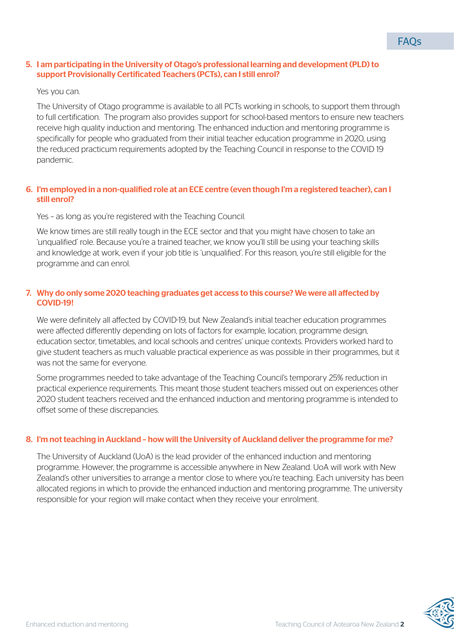### 5. I am participating in the University of Otago's professional learning and development (PLD) to support Provisionally Certificated Teachers (PCTs), can I still enrol?

#### Yes you can.

The University of Otago programme is available to all PCTs working in schools, to support them through to full certification. The program also provides support for school-based mentors to ensure new teachers receive high quality induction and mentoring. The enhanced induction and mentoring programme is specifically for people who graduated from their initial teacher education programme in 2020, using the reduced practicum requirements adopted by the Teaching Council in response to the COVID 19 pandemic.

## 6. I'm employed in a non-qualified role at an ECE centre (even though I'm a registered teacher), can I still enrol?

Yes – as long as you're registered with the Teaching Council.

We know times are still really tough in the ECE sector and that you might have chosen to take an 'unqualified' role. Because you're a trained teacher, we know you'll still be using your teaching skills and knowledge at work, even if your job title is 'unqualified'. For this reason, you're still eligible for the programme and can enrol.

## 7. Why do only some 2020 teaching graduates get access to this course? We were all affected by COVID-19!

We were definitely all affected by COVID-19, but New Zealand's initial teacher education programmes were affected differently depending on lots of factors for example, location, programme design, education sector, timetables, and local schools and centres' unique contexts. Providers worked hard to give student teachers as much valuable practical experience as was possible in their programmes, but it was not the same for everyone.

Some programmes needed to take advantage of the Teaching Council's temporary 25% reduction in practical experience requirements. This meant those student teachers missed out on experiences other 2020 student teachers received and the enhanced induction and mentoring programme is intended to offset some of these discrepancies.

## 8. I'm not teaching in Auckland – how will the University of Auckland deliver the programme for me?

The University of Auckland (UoA) is the lead provider of the enhanced induction and mentoring programme. However, the programme is accessible anywhere in New Zealand. UoA will work with New Zealand's other universities to arrange a mentor close to where you're teaching. Each university has been allocated regions in which to provide the enhanced induction and mentoring programme. The university responsible for your region will make contact when they receive your enrolment.